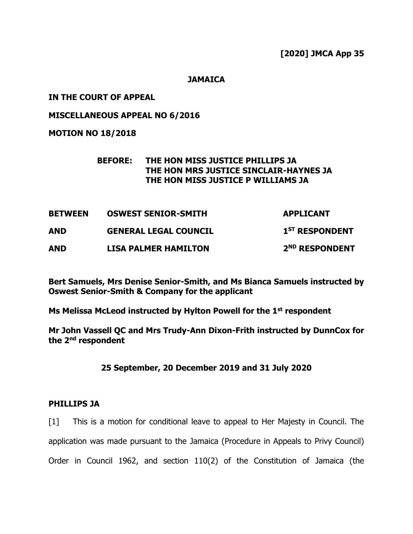**JAMAICA**

### **IN THE COURT OF APPEAL**

**MISCELLANEOUS APPEAL NO 6/2016**

**MOTION NO 18/2018**

### **BEFORE: THE HON MISS JUSTICE PHILLIPS JA THE HON MRS JUSTICE SINCLAIR-HAYNES JA THE HON MISS JUSTICE P WILLIAMS JA**

| <b>BETWEEN</b><br><b>AND</b> | <b>OSWEST SENIOR-SMITH</b><br><b>GENERAL LEGAL COUNCIL</b> | <b>APPLICANT</b><br>1 <sup>ST</sup> RESPONDENT |
|------------------------------|------------------------------------------------------------|------------------------------------------------|
|                              |                                                            |                                                |

**Bert Samuels, Mrs Denise Senior-Smith, and Ms Bianca Samuels instructed by Oswest Senior-Smith & Company for the applicant**

**Ms Melissa McLeod instructed by Hylton Powell for the 1st respondent**

**Mr John Vassell QC and Mrs Trudy-Ann Dixon-Frith instructed by DunnCox for the 2nd respondent**

**25 September, 20 December 2019 and 31 July 2020**

## **PHILLIPS JA**

[1] This is a motion for conditional leave to appeal to Her Majesty in Council. The application was made pursuant to the Jamaica (Procedure in Appeals to Privy Council) Order in Council 1962, and section 110(2) of the Constitution of Jamaica (the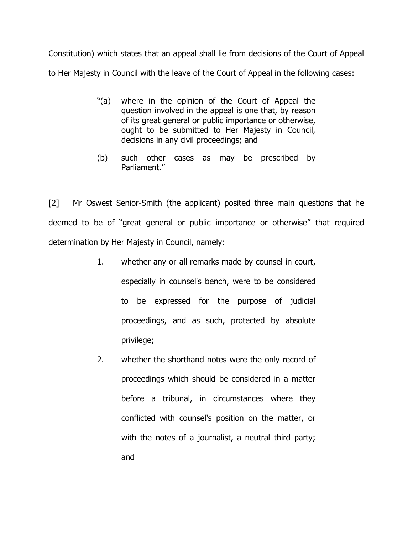Constitution) which states that an appeal shall lie from decisions of the Court of Appeal to Her Majesty in Council with the leave of the Court of Appeal in the following cases:

- "(a) where in the opinion of the Court of Appeal the question involved in the appeal is one that, by reason of its great general or public importance or otherwise, ought to be submitted to Her Majesty in Council, decisions in any civil proceedings; and
- (b) such other cases as may be prescribed by Parliament."

[2] Mr Oswest Senior-Smith (the applicant) posited three main questions that he deemed to be of "great general or public importance or otherwise" that required determination by Her Majesty in Council, namely:

- 1. whether any or all remarks made by counsel in court, especially in counsel's bench, were to be considered to be expressed for the purpose of judicial proceedings, and as such, protected by absolute privilege;
- 2. whether the shorthand notes were the only record of proceedings which should be considered in a matter before a tribunal, in circumstances where they conflicted with counsel's position on the matter, or with the notes of a journalist, a neutral third party; and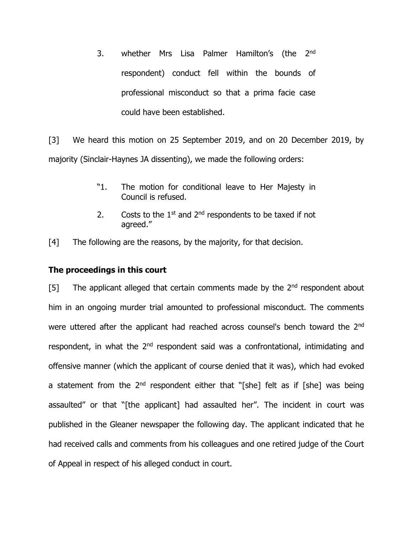3. whether Mrs Lisa Palmer Hamilton's (the 2<sup>nd</sup> respondent) conduct fell within the bounds of professional misconduct so that a prima facie case could have been established.

[3] We heard this motion on 25 September 2019, and on 20 December 2019, by majority (Sinclair-Haynes JA dissenting), we made the following orders:

- "1. The motion for conditional leave to Her Majesty in Council is refused.
- 2. Costs to the  $1<sup>st</sup>$  and  $2<sup>nd</sup>$  respondents to be taxed if not agreed."
- [4] The following are the reasons, by the majority, for that decision.

### **The proceedings in this court**

[5] The applicant alleged that certain comments made by the  $2<sup>nd</sup>$  respondent about him in an ongoing murder trial amounted to professional misconduct. The comments were uttered after the applicant had reached across counsel's bench toward the 2<sup>nd</sup> respondent, in what the 2<sup>nd</sup> respondent said was a confrontational, intimidating and offensive manner (which the applicant of course denied that it was), which had evoked a statement from the  $2^{nd}$  respondent either that "[she] felt as if [she] was being assaulted" or that "[the applicant] had assaulted her". The incident in court was published in the Gleaner newspaper the following day. The applicant indicated that he had received calls and comments from his colleagues and one retired judge of the Court of Appeal in respect of his alleged conduct in court.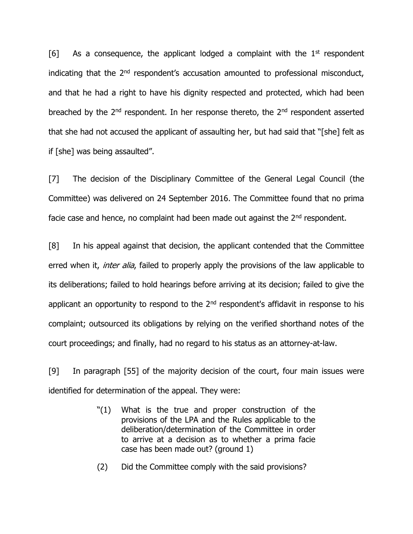[6] As a consequence, the applicant lodged a complaint with the  $1<sup>st</sup>$  respondent indicating that the  $2<sup>nd</sup>$  respondent's accusation amounted to professional misconduct, and that he had a right to have his dignity respected and protected, which had been breached by the 2<sup>nd</sup> respondent. In her response thereto, the 2<sup>nd</sup> respondent asserted that she had not accused the applicant of assaulting her, but had said that "[she] felt as if [she] was being assaulted".

[7] The decision of the Disciplinary Committee of the General Legal Council (the Committee) was delivered on 24 September 2016. The Committee found that no prima facie case and hence, no complaint had been made out against the  $2<sup>nd</sup>$  respondent.

[8] In his appeal against that decision, the applicant contended that the Committee erred when it, *inter alia*, failed to properly apply the provisions of the law applicable to its deliberations; failed to hold hearings before arriving at its decision; failed to give the applicant an opportunity to respond to the  $2<sup>nd</sup>$  respondent's affidavit in response to his complaint; outsourced its obligations by relying on the verified shorthand notes of the court proceedings; and finally, had no regard to his status as an attorney-at-law.

[9] In paragraph [55] of the majority decision of the court, four main issues were identified for determination of the appeal. They were:

- "(1) What is the true and proper construction of the provisions of the LPA and the Rules applicable to the deliberation/determination of the Committee in order to arrive at a decision as to whether a prima facie case has been made out? (ground 1)
- (2) Did the Committee comply with the said provisions?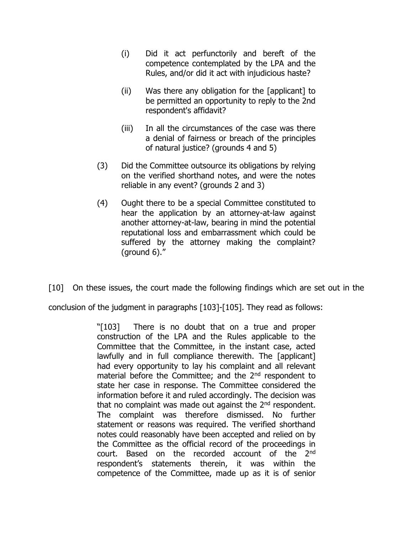- (i) Did it act perfunctorily and bereft of the competence contemplated by the LPA and the Rules, and/or did it act with injudicious haste?
- (ii) Was there any obligation for the [applicant] to be permitted an opportunity to reply to the 2nd respondent's affidavit?
- (iii) In all the circumstances of the case was there a denial of fairness or breach of the principles of natural justice? (grounds 4 and 5)
- (3) Did the Committee outsource its obligations by relying on the verified shorthand notes, and were the notes reliable in any event? (grounds 2 and 3)
- (4) Ought there to be a special Committee constituted to hear the application by an attorney-at-law against another attorney-at-law, bearing in mind the potential reputational loss and embarrassment which could be suffered by the attorney making the complaint? (ground 6)."

[10] On these issues, the court made the following findings which are set out in the

conclusion of the judgment in paragraphs [103]-[105]. They read as follows:

"[103] There is no doubt that on a true and proper construction of the LPA and the Rules applicable to the Committee that the Committee, in the instant case, acted lawfully and in full compliance therewith. The [applicant] had every opportunity to lay his complaint and all relevant material before the Committee; and the 2<sup>nd</sup> respondent to state her case in response. The Committee considered the information before it and ruled accordingly. The decision was that no complaint was made out against the  $2<sup>nd</sup>$  respondent. The complaint was therefore dismissed. No further statement or reasons was required. The verified shorthand notes could reasonably have been accepted and relied on by the Committee as the official record of the proceedings in court. Based on the recorded account of the 2nd respondent's statements therein, it was within the competence of the Committee, made up as it is of senior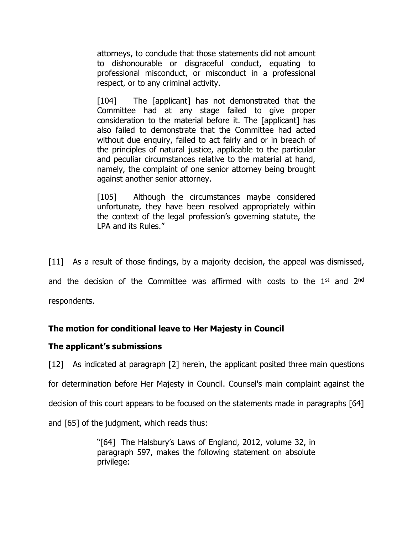attorneys, to conclude that those statements did not amount to dishonourable or disgraceful conduct, equating to professional misconduct, or misconduct in a professional respect, or to any criminal activity.

[104] The [applicant] has not demonstrated that the Committee had at any stage failed to give proper consideration to the material before it. The [applicant] has also failed to demonstrate that the Committee had acted without due enquiry, failed to act fairly and or in breach of the principles of natural justice, applicable to the particular and peculiar circumstances relative to the material at hand, namely, the complaint of one senior attorney being brought against another senior attorney.

[105] Although the circumstances maybe considered unfortunate, they have been resolved appropriately within the context of the legal profession's governing statute, the LPA and its Rules."

[11] As a result of those findings, by a majority decision, the appeal was dismissed, and the decision of the Committee was affirmed with costs to the  $1<sup>st</sup>$  and  $2<sup>nd</sup>$ respondents.

# **The motion for conditional leave to Her Majesty in Council**

## **The applicant's submissions**

[12] As indicated at paragraph [2] herein, the applicant posited three main questions for determination before Her Majesty in Council. Counsel's main complaint against the decision of this court appears to be focused on the statements made in paragraphs [64] and [65] of the judgment, which reads thus:

> "[64] The Halsbury's Laws of England, 2012, volume 32, in paragraph 597, makes the following statement on absolute privilege: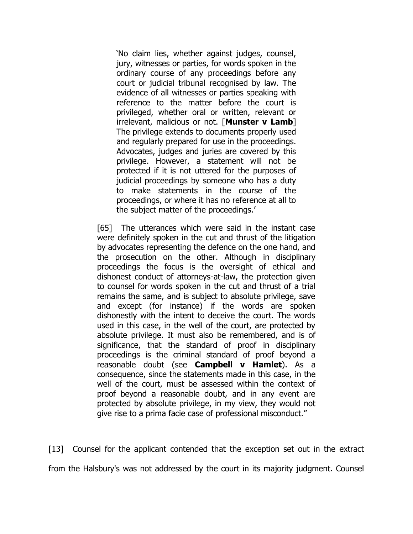'No claim lies, whether against judges, counsel, jury, witnesses or parties, for words spoken in the ordinary course of any proceedings before any court or judicial tribunal recognised by law. The evidence of all witnesses or parties speaking with reference to the matter before the court is privileged, whether oral or written, relevant or irrelevant, malicious or not. [**Munster v Lamb**] The privilege extends to documents properly used and regularly prepared for use in the proceedings. Advocates, judges and juries are covered by this privilege. However, a statement will not be protected if it is not uttered for the purposes of judicial proceedings by someone who has a duty to make statements in the course of the proceedings, or where it has no reference at all to the subject matter of the proceedings.'

[65] The utterances which were said in the instant case were definitely spoken in the cut and thrust of the litigation by advocates representing the defence on the one hand, and the prosecution on the other. Although in disciplinary proceedings the focus is the oversight of ethical and dishonest conduct of attorneys-at-law, the protection given to counsel for words spoken in the cut and thrust of a trial remains the same, and is subject to absolute privilege, save and except (for instance) if the words are spoken dishonestly with the intent to deceive the court. The words used in this case, in the well of the court, are protected by absolute privilege. It must also be remembered, and is of significance, that the standard of proof in disciplinary proceedings is the criminal standard of proof beyond a reasonable doubt (see **Campbell v Hamlet**). As a consequence, since the statements made in this case, in the well of the court, must be assessed within the context of proof beyond a reasonable doubt, and in any event are protected by absolute privilege, in my view, they would not give rise to a prima facie case of professional misconduct."

[13] Counsel for the applicant contended that the exception set out in the extract from the Halsbury's was not addressed by the court in its majority judgment. Counsel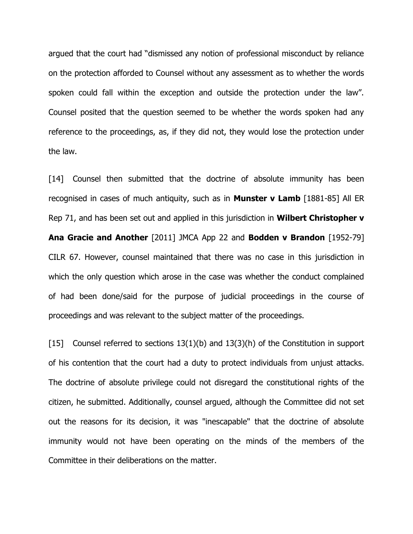argued that the court had "dismissed any notion of professional misconduct by reliance on the protection afforded to Counsel without any assessment as to whether the words spoken could fall within the exception and outside the protection under the law". Counsel posited that the question seemed to be whether the words spoken had any reference to the proceedings, as, if they did not, they would lose the protection under the law.

[14] Counsel then submitted that the doctrine of absolute immunity has been recognised in cases of much antiquity, such as in **Munster v Lamb** [1881-85] All ER Rep 71, and has been set out and applied in this jurisdiction in **Wilbert Christopher v Ana Gracie and Another** [2011] JMCA App 22 and **Bodden v Brandon** [1952-79] CILR 67. However, counsel maintained that there was no case in this jurisdiction in which the only question which arose in the case was whether the conduct complained of had been done/said for the purpose of judicial proceedings in the course of proceedings and was relevant to the subject matter of the proceedings.

[15] Counsel referred to sections 13(1)(b) and 13(3)(h) of the Constitution in support of his contention that the court had a duty to protect individuals from unjust attacks. The doctrine of absolute privilege could not disregard the constitutional rights of the citizen, he submitted. Additionally, counsel argued, although the Committee did not set out the reasons for its decision, it was "inescapable" that the doctrine of absolute immunity would not have been operating on the minds of the members of the Committee in their deliberations on the matter.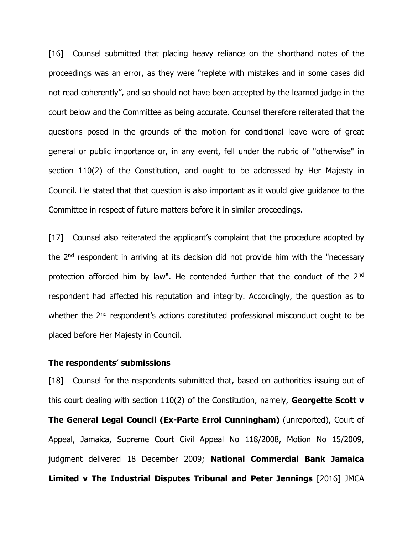[16] Counsel submitted that placing heavy reliance on the shorthand notes of the proceedings was an error, as they were "replete with mistakes and in some cases did not read coherently", and so should not have been accepted by the learned judge in the court below and the Committee as being accurate. Counsel therefore reiterated that the questions posed in the grounds of the motion for conditional leave were of great general or public importance or, in any event, fell under the rubric of "otherwise" in section 110(2) of the Constitution, and ought to be addressed by Her Majesty in Council. He stated that that question is also important as it would give guidance to the Committee in respect of future matters before it in similar proceedings.

[17] Counsel also reiterated the applicant's complaint that the procedure adopted by the 2nd respondent in arriving at its decision did not provide him with the "necessary protection afforded him by law". He contended further that the conduct of the 2<sup>nd</sup> respondent had affected his reputation and integrity. Accordingly, the question as to whether the 2<sup>nd</sup> respondent's actions constituted professional misconduct ought to be placed before Her Majesty in Council.

#### **The respondents' submissions**

[18] Counsel for the respondents submitted that, based on authorities issuing out of this court dealing with section 110(2) of the Constitution, namely, **Georgette Scott v The General Legal Council (Ex-Parte Errol Cunningham)** (unreported), Court of Appeal, Jamaica, Supreme Court Civil Appeal No 118/2008, Motion No 15/2009, judgment delivered 18 December 2009; **National Commercial Bank Jamaica Limited v The Industrial Disputes Tribunal and Peter Jennings** [2016] JMCA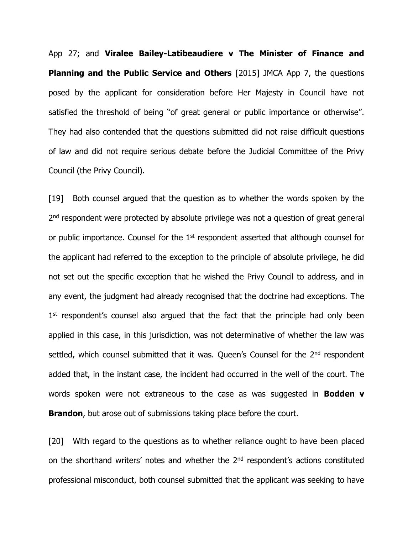App 27; and **Viralee Bailey-Latibeaudiere v The Minister of Finance and Planning and the Public Service and Others** [2015] JMCA App 7, the questions posed by the applicant for consideration before Her Majesty in Council have not satisfied the threshold of being "of great general or public importance or otherwise". They had also contended that the questions submitted did not raise difficult questions of law and did not require serious debate before the Judicial Committee of the Privy Council (the Privy Council).

[19] Both counsel argued that the question as to whether the words spoken by the 2<sup>nd</sup> respondent were protected by absolute privilege was not a question of great general or public importance. Counsel for the 1<sup>st</sup> respondent asserted that although counsel for the applicant had referred to the exception to the principle of absolute privilege, he did not set out the specific exception that he wished the Privy Council to address, and in any event, the judgment had already recognised that the doctrine had exceptions. The 1<sup>st</sup> respondent's counsel also argued that the fact that the principle had only been applied in this case, in this jurisdiction, was not determinative of whether the law was settled, which counsel submitted that it was. Queen's Counsel for the 2<sup>nd</sup> respondent added that, in the instant case, the incident had occurred in the well of the court. The words spoken were not extraneous to the case as was suggested in **Bodden v Brandon**, but arose out of submissions taking place before the court.

[20] With regard to the questions as to whether reliance ought to have been placed on the shorthand writers' notes and whether the 2<sup>nd</sup> respondent's actions constituted professional misconduct, both counsel submitted that the applicant was seeking to have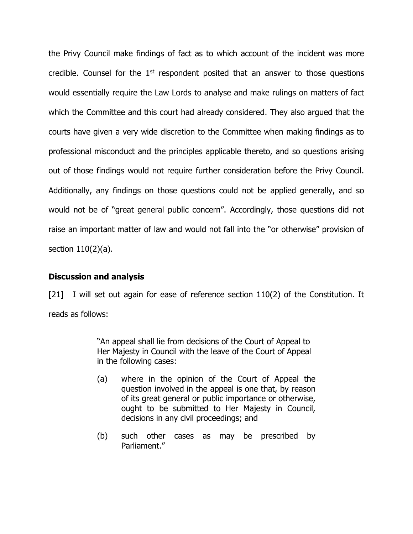the Privy Council make findings of fact as to which account of the incident was more credible. Counsel for the  $1<sup>st</sup>$  respondent posited that an answer to those questions would essentially require the Law Lords to analyse and make rulings on matters of fact which the Committee and this court had already considered. They also argued that the courts have given a very wide discretion to the Committee when making findings as to professional misconduct and the principles applicable thereto, and so questions arising out of those findings would not require further consideration before the Privy Council. Additionally, any findings on those questions could not be applied generally, and so would not be of "great general public concern". Accordingly, those questions did not raise an important matter of law and would not fall into the "or otherwise" provision of section 110(2)(a).

#### **Discussion and analysis**

[21] I will set out again for ease of reference section 110(2) of the Constitution. It reads as follows:

> "An appeal shall lie from decisions of the Court of Appeal to Her Majesty in Council with the leave of the Court of Appeal in the following cases:

- (a) where in the opinion of the Court of Appeal the question involved in the appeal is one that, by reason of its great general or public importance or otherwise, ought to be submitted to Her Majesty in Council, decisions in any civil proceedings; and
- (b) such other cases as may be prescribed by Parliament."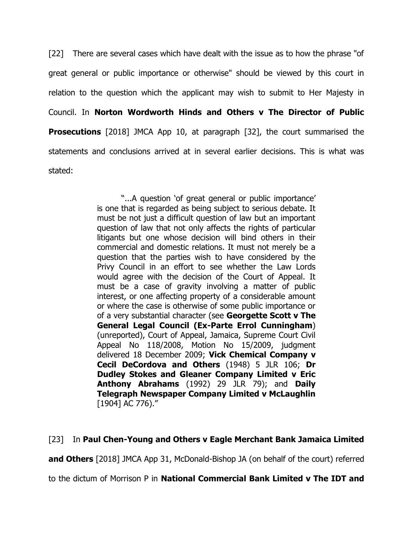[22] There are several cases which have dealt with the issue as to how the phrase "of great general or public importance or otherwise" should be viewed by this court in relation to the question which the applicant may wish to submit to Her Majesty in Council. In **Norton Wordworth Hinds and Others v The Director of Public Prosecutions** [2018] JMCA App 10, at paragraph [32], the court summarised the statements and conclusions arrived at in several earlier decisions. This is what was stated:

> "...A question 'of great general or public importance' is one that is regarded as being subject to serious debate. It must be not just a difficult question of law but an important question of law that not only affects the rights of particular litigants but one whose decision will bind others in their commercial and domestic relations. It must not merely be a question that the parties wish to have considered by the Privy Council in an effort to see whether the Law Lords would agree with the decision of the Court of Appeal. It must be a case of gravity involving a matter of public interest, or one affecting property of a considerable amount or where the case is otherwise of some public importance or of a very substantial character (see **Georgette Scott v The General Legal Council (Ex-Parte Errol Cunningham**) (unreported), Court of Appeal, Jamaica, Supreme Court Civil Appeal No 118/2008, Motion No 15/2009, judgment delivered 18 December 2009; **Vick Chemical Company v Cecil DeCordova and Others** (1948) 5 JLR 106; **Dr Dudley Stokes and Gleaner Company Limited v Eric Anthony Abrahams** (1992) 29 JLR 79); and **Daily Telegraph Newspaper Company Limited v McLaughlin** [1904] AC 776)."

## [23] In **Paul Chen-Young and Others v Eagle Merchant Bank Jamaica Limited**

**and Others** [2018] JMCA App 31, McDonald-Bishop JA (on behalf of the court) referred

to the dictum of Morrison P in **National Commercial Bank Limited v The IDT and**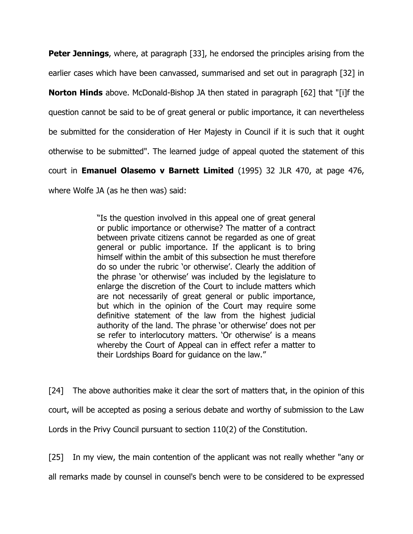**Peter Jennings**, where, at paragraph [33], he endorsed the principles arising from the earlier cases which have been canvassed, summarised and set out in paragraph [32] in

**Norton Hinds** above. McDonald-Bishop JA then stated in paragraph [62] that "[i]f the question cannot be said to be of great general or public importance, it can nevertheless be submitted for the consideration of Her Majesty in Council if it is such that it ought otherwise to be submitted". The learned judge of appeal quoted the statement of this court in **Emanuel Olasemo v Barnett Limited** (1995) 32 JLR 470, at page 476, where Wolfe JA (as he then was) said:

> "Is the question involved in this appeal one of great general or public importance or otherwise? The matter of a contract between private citizens cannot be regarded as one of great general or public importance. If the applicant is to bring himself within the ambit of this subsection he must therefore do so under the rubric 'or otherwise'. Clearly the addition of the phrase 'or otherwise' was included by the legislature to enlarge the discretion of the Court to include matters which are not necessarily of great general or public importance, but which in the opinion of the Court may require some definitive statement of the law from the highest judicial authority of the land. The phrase 'or otherwise' does not per se refer to interlocutory matters. 'Or otherwise' is a means whereby the Court of Appeal can in effect refer a matter to their Lordships Board for guidance on the law."

[24] The above authorities make it clear the sort of matters that, in the opinion of this court, will be accepted as posing a serious debate and worthy of submission to the Law Lords in the Privy Council pursuant to section 110(2) of the Constitution.

[25] In my view, the main contention of the applicant was not really whether "any or all remarks made by counsel in counsel's bench were to be considered to be expressed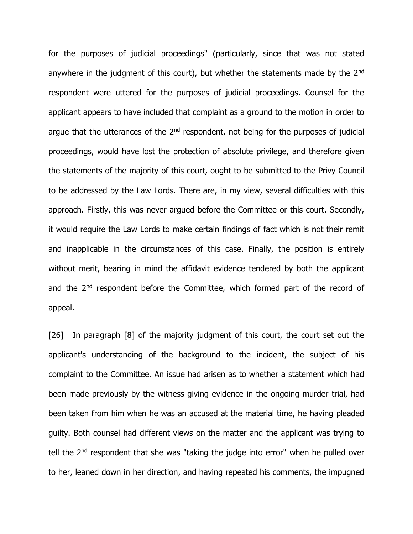for the purposes of judicial proceedings" (particularly, since that was not stated anywhere in the judgment of this court), but whether the statements made by the 2<sup>nd</sup> respondent were uttered for the purposes of judicial proceedings. Counsel for the applicant appears to have included that complaint as a ground to the motion in order to argue that the utterances of the  $2<sup>nd</sup>$  respondent, not being for the purposes of judicial proceedings, would have lost the protection of absolute privilege, and therefore given the statements of the majority of this court, ought to be submitted to the Privy Council to be addressed by the Law Lords. There are, in my view, several difficulties with this approach. Firstly, this was never argued before the Committee or this court. Secondly, it would require the Law Lords to make certain findings of fact which is not their remit and inapplicable in the circumstances of this case. Finally, the position is entirely without merit, bearing in mind the affidavit evidence tendered by both the applicant and the 2<sup>nd</sup> respondent before the Committee, which formed part of the record of appeal.

[26] In paragraph [8] of the majority judgment of this court, the court set out the applicant's understanding of the background to the incident, the subject of his complaint to the Committee. An issue had arisen as to whether a statement which had been made previously by the witness giving evidence in the ongoing murder trial, had been taken from him when he was an accused at the material time, he having pleaded guilty. Both counsel had different views on the matter and the applicant was trying to tell the 2<sup>nd</sup> respondent that she was "taking the judge into error" when he pulled over to her, leaned down in her direction, and having repeated his comments, the impugned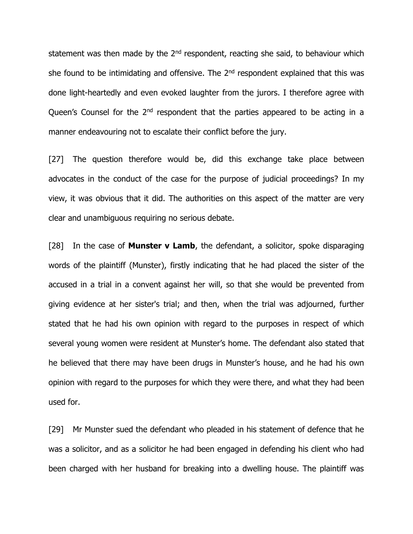statement was then made by the  $2<sup>nd</sup>$  respondent, reacting she said, to behaviour which she found to be intimidating and offensive. The  $2<sup>nd</sup>$  respondent explained that this was done light-heartedly and even evoked laughter from the jurors. I therefore agree with Queen's Counsel for the 2<sup>nd</sup> respondent that the parties appeared to be acting in a manner endeavouring not to escalate their conflict before the jury.

[27] The question therefore would be, did this exchange take place between advocates in the conduct of the case for the purpose of judicial proceedings? In my view, it was obvious that it did. The authorities on this aspect of the matter are very clear and unambiguous requiring no serious debate.

[28] In the case of **Munster v Lamb**, the defendant, a solicitor, spoke disparaging words of the plaintiff (Munster), firstly indicating that he had placed the sister of the accused in a trial in a convent against her will, so that she would be prevented from giving evidence at her sister's trial; and then, when the trial was adjourned, further stated that he had his own opinion with regard to the purposes in respect of which several young women were resident at Munster's home. The defendant also stated that he believed that there may have been drugs in Munster's house, and he had his own opinion with regard to the purposes for which they were there, and what they had been used for.

[29] Mr Munster sued the defendant who pleaded in his statement of defence that he was a solicitor, and as a solicitor he had been engaged in defending his client who had been charged with her husband for breaking into a dwelling house. The plaintiff was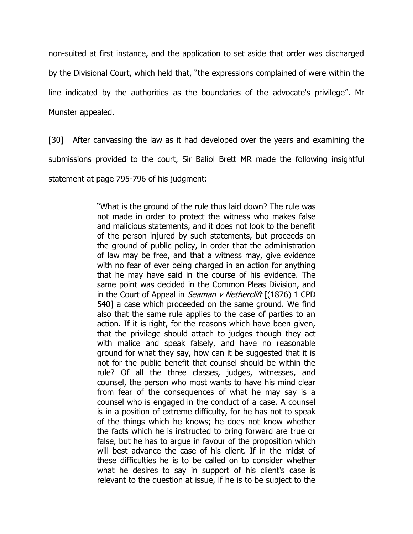non-suited at first instance, and the application to set aside that order was discharged by the Divisional Court, which held that, "the expressions complained of were within the line indicated by the authorities as the boundaries of the advocate's privilege". Mr Munster appealed.

[30] After canvassing the law as it had developed over the years and examining the submissions provided to the court, Sir Baliol Brett MR made the following insightful statement at page 795-796 of his judgment:

> "What is the ground of the rule thus laid down? The rule was not made in order to protect the witness who makes false and malicious statements, and it does not look to the benefit of the person injured by such statements, but proceeds on the ground of public policy, in order that the administration of law may be free, and that a witness may, give evidence with no fear of ever being charged in an action for anything that he may have said in the course of his evidence. The same point was decided in the Common Pleas Division, and in the Court of Appeal in *Seaman v Netherclift*  $[(1876) 1$  CPD 540] a case which proceeded on the same ground. We find also that the same rule applies to the case of parties to an action. If it is right, for the reasons which have been given, that the privilege should attach to judges though they act with malice and speak falsely, and have no reasonable ground for what they say, how can it be suggested that it is not for the public benefit that counsel should be within the rule? Of all the three classes, judges, witnesses, and counsel, the person who most wants to have his mind clear from fear of the consequences of what he may say is a counsel who is engaged in the conduct of a case. A counsel is in a position of extreme difficulty, for he has not to speak of the things which he knows; he does not know whether the facts which he is instructed to bring forward are true or false, but he has to argue in favour of the proposition which will best advance the case of his client. If in the midst of these difficulties he is to be called on to consider whether what he desires to say in support of his client's case is relevant to the question at issue, if he is to be subject to the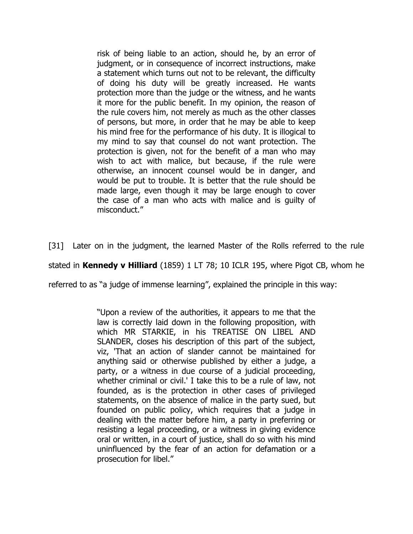risk of being liable to an action, should he, by an error of judgment, or in consequence of incorrect instructions, make a statement which turns out not to be relevant, the difficulty of doing his duty will be greatly increased. He wants protection more than the judge or the witness, and he wants it more for the public benefit. In my opinion, the reason of the rule covers him, not merely as much as the other classes of persons, but more, in order that he may be able to keep his mind free for the performance of his duty. It is illogical to my mind to say that counsel do not want protection. The protection is given, not for the benefit of a man who may wish to act with malice, but because, if the rule were otherwise, an innocent counsel would be in danger, and would be put to trouble. It is better that the rule should be made large, even though it may be large enough to cover the case of a man who acts with malice and is guilty of misconduct."

[31] Later on in the judgment, the learned Master of the Rolls referred to the rule

stated in **Kennedy v Hilliard** (1859) 1 LT 78; 10 ICLR 195, where Pigot CB, whom he

referred to as "a judge of immense learning", explained the principle in this way:

"Upon a review of the authorities, it appears to me that the law is correctly laid down in the following proposition, with which MR STARKIE, in his TREATISE ON LIBEL AND SLANDER, closes his description of this part of the subject, viz, 'That an action of slander cannot be maintained for anything said or otherwise published by either a judge, a party, or a witness in due course of a judicial proceeding, whether criminal or civil.' I take this to be a rule of law, not founded, as is the protection in other cases of privileged statements, on the absence of malice in the party sued, but founded on public policy, which requires that a judge in dealing with the matter before him, a party in preferring or resisting a legal proceeding, or a witness in giving evidence oral or written, in a court of justice, shall do so with his mind uninfluenced by the fear of an action for defamation or a prosecution for libel."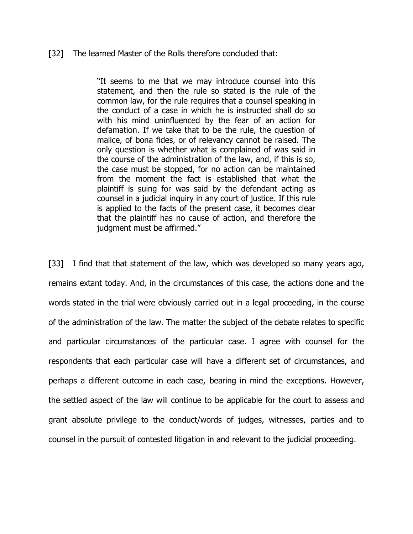#### [32] The learned Master of the Rolls therefore concluded that:

"It seems to me that we may introduce counsel into this statement, and then the rule so stated is the rule of the common law, for the rule requires that a counsel speaking in the conduct of a case in which he is instructed shall do so with his mind uninfluenced by the fear of an action for defamation. If we take that to be the rule, the question of malice, of bona fides, or of relevancy cannot be raised. The only question is whether what is complained of was said in the course of the administration of the law, and, if this is so, the case must be stopped, for no action can be maintained from the moment the fact is established that what the plaintiff is suing for was said by the defendant acting as counsel in a judicial inquiry in any court of justice. If this rule is applied to the facts of the present case, it becomes clear that the plaintiff has no cause of action, and therefore the judgment must be affirmed."

[33] I find that that statement of the law, which was developed so many years ago, remains extant today. And, in the circumstances of this case, the actions done and the words stated in the trial were obviously carried out in a legal proceeding, in the course of the administration of the law. The matter the subject of the debate relates to specific and particular circumstances of the particular case. I agree with counsel for the respondents that each particular case will have a different set of circumstances, and perhaps a different outcome in each case, bearing in mind the exceptions. However, the settled aspect of the law will continue to be applicable for the court to assess and grant absolute privilege to the conduct/words of judges, witnesses, parties and to counsel in the pursuit of contested litigation in and relevant to the judicial proceeding.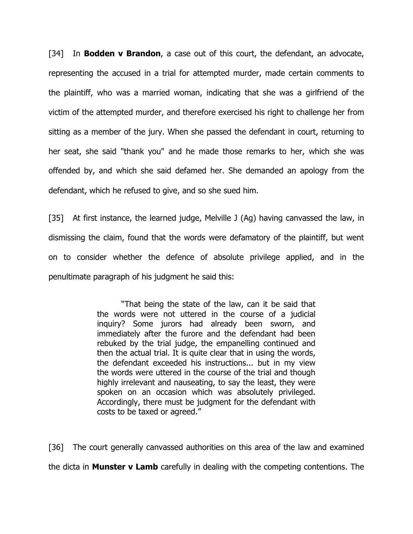[34] In **Bodden v Brandon**, a case out of this court, the defendant, an advocate, representing the accused in a trial for attempted murder, made certain comments to the plaintiff, who was a married woman, indicating that she was a girlfriend of the victim of the attempted murder, and therefore exercised his right to challenge her from sitting as a member of the jury. When she passed the defendant in court, returning to her seat, she said "thank you" and he made those remarks to her, which she was offended by, and which she said defamed her. She demanded an apology from the defendant, which he refused to give, and so she sued him.

[35] At first instance, the learned judge, Melville J (Ag) having canvassed the law, in dismissing the claim, found that the words were defamatory of the plaintiff, but went on to consider whether the defence of absolute privilege applied, and in the penultimate paragraph of his judgment he said this:

> "That being the state of the law, can it be said that the words were not uttered in the course of a judicial inquiry? Some jurors had already been sworn, and immediately after the furore and the defendant had been rebuked by the trial judge, the empanelling continued and then the actual trial. It is quite clear that in using the words, the defendant exceeded his instructions... but in my view the words were uttered in the course of the trial and though highly irrelevant and nauseating, to say the least, they were spoken on an occasion which was absolutely privileged. Accordingly, there must be judgment for the defendant with costs to be taxed or agreed."

[36] The court generally canvassed authorities on this area of the law and examined the dicta in **Munster v Lamb** carefully in dealing with the competing contentions. The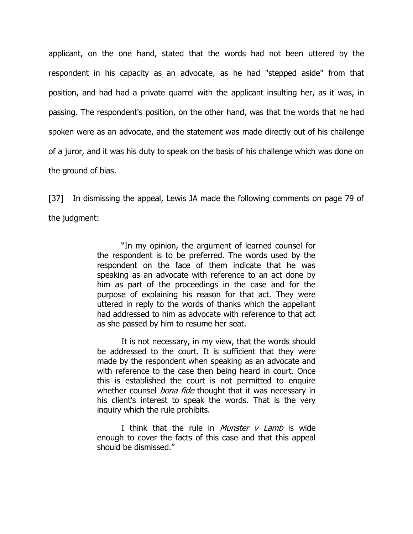applicant, on the one hand, stated that the words had not been uttered by the respondent in his capacity as an advocate, as he had "stepped aside" from that position, and had had a private quarrel with the applicant insulting her, as it was, in passing. The respondent's position, on the other hand, was that the words that he had spoken were as an advocate, and the statement was made directly out of his challenge of a juror, and it was his duty to speak on the basis of his challenge which was done on the ground of bias.

[37] In dismissing the appeal, Lewis JA made the following comments on page 79 of the judgment:

> "In my opinion, the argument of learned counsel for the respondent is to be preferred. The words used by the respondent on the face of them indicate that he was speaking as an advocate with reference to an act done by him as part of the proceedings in the case and for the purpose of explaining his reason for that act. They were uttered in reply to the words of thanks which the appellant had addressed to him as advocate with reference to that act as she passed by him to resume her seat.

> It is not necessary, in my view, that the words should be addressed to the court. It is sufficient that they were made by the respondent when speaking as an advocate and with reference to the case then being heard in court. Once this is established the court is not permitted to enquire whether counsel *bona fide* thought that it was necessary in his client's interest to speak the words. That is the very inquiry which the rule prohibits.

> I think that the rule in *Munster v Lamb* is wide enough to cover the facts of this case and that this appeal should be dismissed."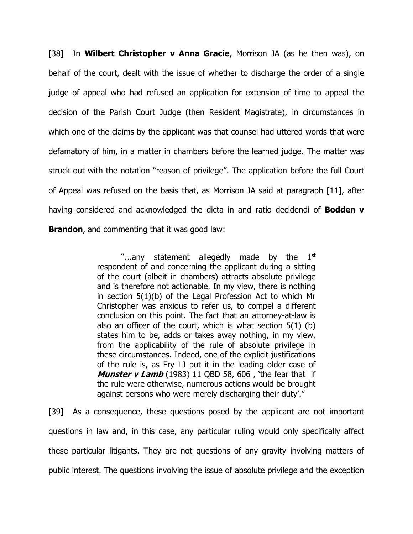[38] In **Wilbert Christopher v Anna Gracie**, Morrison JA (as he then was), on behalf of the court, dealt with the issue of whether to discharge the order of a single judge of appeal who had refused an application for extension of time to appeal the decision of the Parish Court Judge (then Resident Magistrate), in circumstances in which one of the claims by the applicant was that counsel had uttered words that were defamatory of him, in a matter in chambers before the learned judge. The matter was struck out with the notation "reason of privilege". The application before the full Court of Appeal was refused on the basis that, as Morrison JA said at paragraph [11], after having considered and acknowledged the dicta in and ratio decidendi of **Bodden v Brandon**, and commenting that it was good law:

> "...any statement allegedly made by the  $1<sup>st</sup>$ respondent of and concerning the applicant during a sitting of the court (albeit in chambers) attracts absolute privilege and is therefore not actionable. In my view, there is nothing in section 5(1)(b) of the Legal Profession Act to which Mr Christopher was anxious to refer us, to compel a different conclusion on this point. The fact that an attorney-at-law is also an officer of the court, which is what section 5(1) (b) states him to be, adds or takes away nothing, in my view, from the applicability of the rule of absolute privilege in these circumstances. Indeed, one of the explicit justifications of the rule is, as Fry LJ put it in the leading older case of **Munster v Lamb** (1983) 11 QBD 58, 606 , 'the fear that if the rule were otherwise, numerous actions would be brought against persons who were merely discharging their duty'."

[39] As a consequence, these questions posed by the applicant are not important questions in law and, in this case, any particular ruling would only specifically affect these particular litigants. They are not questions of any gravity involving matters of public interest. The questions involving the issue of absolute privilege and the exception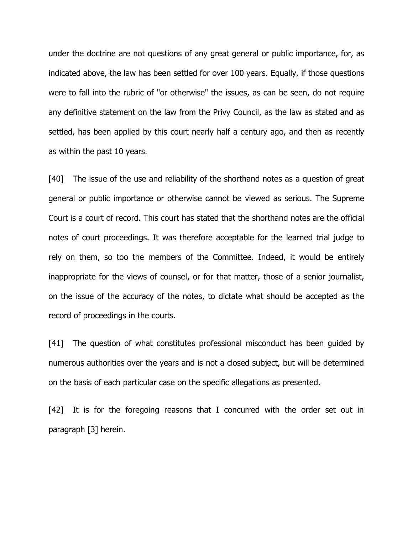under the doctrine are not questions of any great general or public importance, for, as indicated above, the law has been settled for over 100 years. Equally, if those questions were to fall into the rubric of "or otherwise" the issues, as can be seen, do not require any definitive statement on the law from the Privy Council, as the law as stated and as settled, has been applied by this court nearly half a century ago, and then as recently as within the past 10 years.

[40] The issue of the use and reliability of the shorthand notes as a question of great general or public importance or otherwise cannot be viewed as serious. The Supreme Court is a court of record. This court has stated that the shorthand notes are the official notes of court proceedings. It was therefore acceptable for the learned trial judge to rely on them, so too the members of the Committee. Indeed, it would be entirely inappropriate for the views of counsel, or for that matter, those of a senior journalist, on the issue of the accuracy of the notes, to dictate what should be accepted as the record of proceedings in the courts.

[41] The question of what constitutes professional misconduct has been guided by numerous authorities over the years and is not a closed subject, but will be determined on the basis of each particular case on the specific allegations as presented.

[42] It is for the foregoing reasons that I concurred with the order set out in paragraph [3] herein.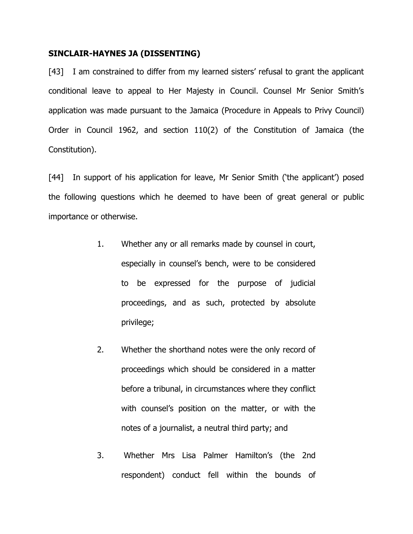#### **SINCLAIR-HAYNES JA (DISSENTING)**

[43] I am constrained to differ from my learned sisters' refusal to grant the applicant conditional leave to appeal to Her Majesty in Council. Counsel Mr Senior Smith's application was made pursuant to the Jamaica (Procedure in Appeals to Privy Council) Order in Council 1962, and section 110(2) of the Constitution of Jamaica (the Constitution).

[44] In support of his application for leave, Mr Senior Smith ('the applicant') posed the following questions which he deemed to have been of great general or public importance or otherwise.

- 1. Whether any or all remarks made by counsel in court, especially in counsel's bench, were to be considered to be expressed for the purpose of judicial proceedings, and as such, protected by absolute privilege;
- 2. Whether the shorthand notes were the only record of proceedings which should be considered in a matter before a tribunal, in circumstances where they conflict with counsel's position on the matter, or with the notes of a journalist, a neutral third party; and
- 3. Whether Mrs Lisa Palmer Hamilton's (the 2nd respondent) conduct fell within the bounds of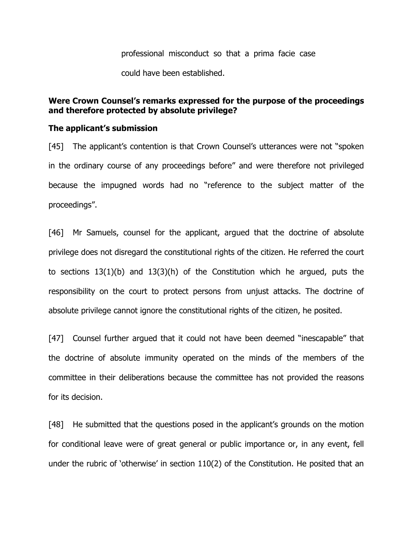professional misconduct so that a prima facie case

could have been established.

### **Were Crown Counsel's remarks expressed for the purpose of the proceedings and therefore protected by absolute privilege?**

#### **The applicant's submission**

[45] The applicant's contention is that Crown Counsel's utterances were not "spoken" in the ordinary course of any proceedings before" and were therefore not privileged because the impugned words had no "reference to the subject matter of the proceedings".

[46] Mr Samuels, counsel for the applicant, argued that the doctrine of absolute privilege does not disregard the constitutional rights of the citizen. He referred the court to sections 13(1)(b) and 13(3)(h) of the Constitution which he argued, puts the responsibility on the court to protect persons from unjust attacks. The doctrine of absolute privilege cannot ignore the constitutional rights of the citizen, he posited.

[47] Counsel further argued that it could not have been deemed "inescapable" that the doctrine of absolute immunity operated on the minds of the members of the committee in their deliberations because the committee has not provided the reasons for its decision.

[48] He submitted that the questions posed in the applicant's grounds on the motion for conditional leave were of great general or public importance or, in any event, fell under the rubric of 'otherwise' in section 110(2) of the Constitution. He posited that an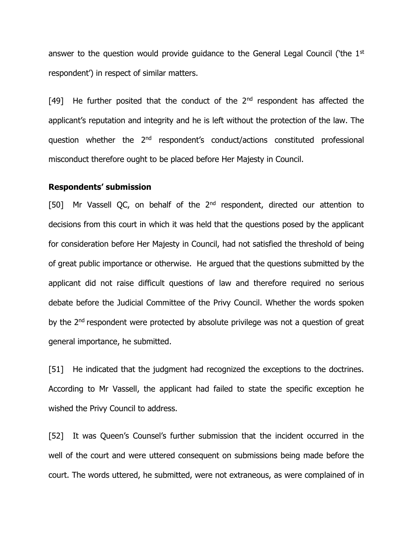answer to the question would provide quidance to the General Legal Council ('the 1<sup>st</sup> respondent') in respect of similar matters.

[49] He further posited that the conduct of the  $2<sup>nd</sup>$  respondent has affected the applicant's reputation and integrity and he is left without the protection of the law. The question whether the 2<sup>nd</sup> respondent's conduct/actions constituted professional misconduct therefore ought to be placed before Her Majesty in Council.

#### **Respondents' submission**

[50] Mr Vassell QC, on behalf of the 2<sup>nd</sup> respondent, directed our attention to decisions from this court in which it was held that the questions posed by the applicant for consideration before Her Majesty in Council, had not satisfied the threshold of being of great public importance or otherwise. He argued that the questions submitted by the applicant did not raise difficult questions of law and therefore required no serious debate before the Judicial Committee of the Privy Council. Whether the words spoken by the 2<sup>nd</sup> respondent were protected by absolute privilege was not a question of great general importance, he submitted.

[51] He indicated that the judgment had recognized the exceptions to the doctrines. According to Mr Vassell, the applicant had failed to state the specific exception he wished the Privy Council to address.

[52] It was Queen's Counsel's further submission that the incident occurred in the well of the court and were uttered consequent on submissions being made before the court. The words uttered, he submitted, were not extraneous, as were complained of in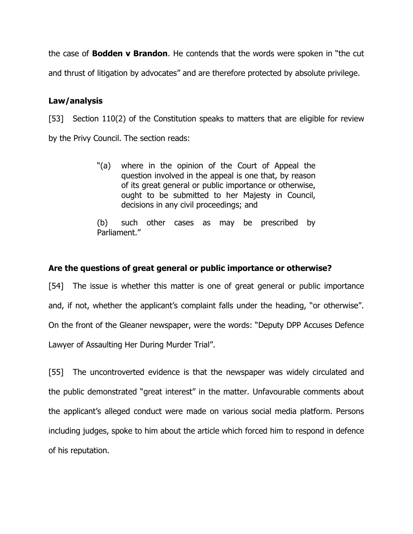the case of **Bodden v Brandon**. He contends that the words were spoken in "the cut and thrust of litigation by advocates" and are therefore protected by absolute privilege.

# **Law/analysis**

[53] Section 110(2) of the Constitution speaks to matters that are eligible for review by the Privy Council. The section reads:

> "(a) where in the opinion of the Court of Appeal the question involved in the appeal is one that, by reason of its great general or public importance or otherwise, ought to be submitted to her Majesty in Council, decisions in any civil proceedings; and

> (b) such other cases as may be prescribed by Parliament."

# **Are the questions of great general or public importance or otherwise?**

[54] The issue is whether this matter is one of great general or public importance and, if not, whether the applicant's complaint falls under the heading, "or otherwise". On the front of the Gleaner newspaper, were the words: "Deputy DPP Accuses Defence Lawyer of Assaulting Her During Murder Trial".

[55] The uncontroverted evidence is that the newspaper was widely circulated and the public demonstrated "great interest" in the matter. Unfavourable comments about the applicant's alleged conduct were made on various social media platform. Persons including judges, spoke to him about the article which forced him to respond in defence of his reputation.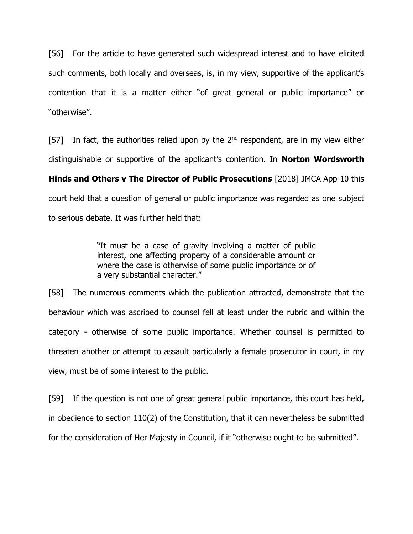[56] For the article to have generated such widespread interest and to have elicited such comments, both locally and overseas, is, in my view, supportive of the applicant's contention that it is a matter either "of great general or public importance" or "otherwise".

[57] In fact, the authorities relied upon by the  $2<sup>nd</sup>$  respondent, are in my view either distinguishable or supportive of the applicant's contention. In **Norton Wordsworth Hinds and Others v The Director of Public Prosecutions** [2018] JMCA App 10 this court held that a question of general or public importance was regarded as one subject to serious debate. It was further held that:

> "It must be a case of gravity involving a matter of public interest, one affecting property of a considerable amount or where the case is otherwise of some public importance or of a very substantial character."

[58] The numerous comments which the publication attracted, demonstrate that the behaviour which was ascribed to counsel fell at least under the rubric and within the category - otherwise of some public importance. Whether counsel is permitted to threaten another or attempt to assault particularly a female prosecutor in court, in my view, must be of some interest to the public.

[59] If the question is not one of great general public importance, this court has held, in obedience to section 110(2) of the Constitution, that it can nevertheless be submitted for the consideration of Her Majesty in Council, if it "otherwise ought to be submitted".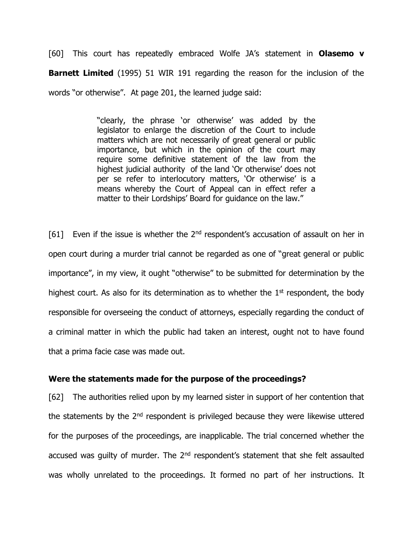[60] This court has repeatedly embraced Wolfe JA's statement in **Olasemo v Barnett Limited** (1995) 51 WIR 191 regarding the reason for the inclusion of the words "or otherwise". At page 201, the learned judge said:

> "clearly, the phrase 'or otherwise' was added by the legislator to enlarge the discretion of the Court to include matters which are not necessarily of great general or public importance, but which in the opinion of the court may require some definitive statement of the law from the highest judicial authority of the land 'Or otherwise' does not per se refer to interlocutory matters, 'Or otherwise' is a means whereby the Court of Appeal can in effect refer a matter to their Lordships' Board for guidance on the law."

[61] Even if the issue is whether the  $2<sup>nd</sup>$  respondent's accusation of assault on her in open court during a murder trial cannot be regarded as one of "great general or public importance", in my view, it ought "otherwise" to be submitted for determination by the highest court. As also for its determination as to whether the  $1<sup>st</sup>$  respondent, the body responsible for overseeing the conduct of attorneys, especially regarding the conduct of a criminal matter in which the public had taken an interest, ought not to have found that a prima facie case was made out.

#### **Were the statements made for the purpose of the proceedings?**

[62] The authorities relied upon by my learned sister in support of her contention that the statements by the  $2<sup>nd</sup>$  respondent is privileged because they were likewise uttered for the purposes of the proceedings, are inapplicable. The trial concerned whether the accused was guilty of murder. The 2<sup>nd</sup> respondent's statement that she felt assaulted was wholly unrelated to the proceedings. It formed no part of her instructions. It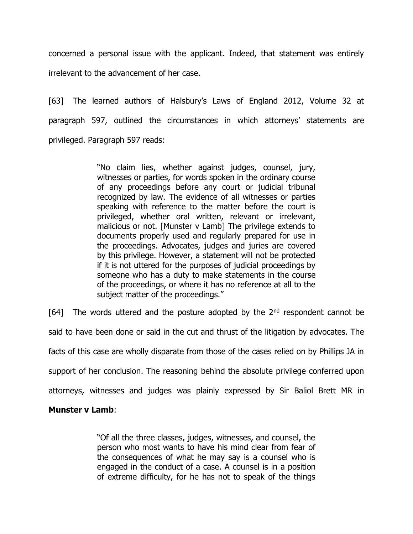concerned a personal issue with the applicant. Indeed, that statement was entirely irrelevant to the advancement of her case.

[63] The learned authors of Halsbury's Laws of England 2012, Volume 32 at paragraph 597, outlined the circumstances in which attorneys' statements are privileged. Paragraph 597 reads:

> "No claim lies, whether against judges, counsel, jury, witnesses or parties, for words spoken in the ordinary course of any proceedings before any court or judicial tribunal recognized by law. The evidence of all witnesses or parties speaking with reference to the matter before the court is privileged, whether oral written, relevant or irrelevant, malicious or not. [Munster v Lamb] The privilege extends to documents properly used and regularly prepared for use in the proceedings. Advocates, judges and juries are covered by this privilege. However, a statement will not be protected if it is not uttered for the purposes of judicial proceedings by someone who has a duty to make statements in the course of the proceedings, or where it has no reference at all to the subject matter of the proceedings."

[64] The words uttered and the posture adopted by the  $2<sup>nd</sup>$  respondent cannot be said to have been done or said in the cut and thrust of the litigation by advocates. The facts of this case are wholly disparate from those of the cases relied on by Phillips JA in support of her conclusion. The reasoning behind the absolute privilege conferred upon attorneys, witnesses and judges was plainly expressed by Sir Baliol Brett MR in

### **Munster v Lamb**:

"Of all the three classes, judges, witnesses, and counsel, the person who most wants to have his mind clear from fear of the consequences of what he may say is a counsel who is engaged in the conduct of a case. A counsel is in a position of extreme difficulty, for he has not to speak of the things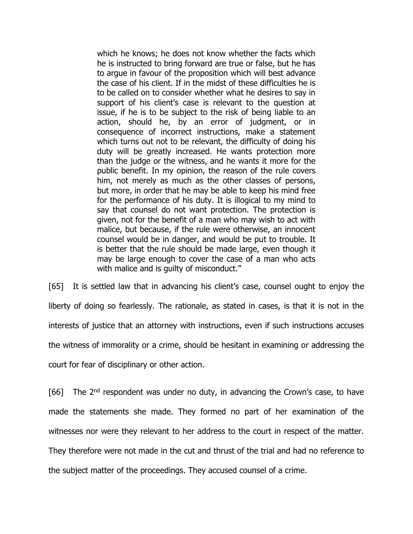which he knows; he does not know whether the facts which he is instructed to bring forward are true or false, but he has to argue in favour of the proposition which will best advance the case of his client. If in the midst of these difficulties he is to be called on to consider whether what he desires to say in support of his client's case is relevant to the question at issue, if he is to be subject to the risk of being liable to an action, should he, by an error of judgment, or in consequence of incorrect instructions, make a statement which turns out not to be relevant, the difficulty of doing his duty will be greatly increased. He wants protection more than the judge or the witness, and he wants it more for the public benefit. In my opinion, the reason of the rule covers him, not merely as much as the other classes of persons, but more, in order that he may be able to keep his mind free for the performance of his duty. It is illogical to my mind to say that counsel do not want protection. The protection is given, not for the benefit of a man who may wish to act with malice, but because, if the rule were otherwise, an innocent counsel would be in danger, and would be put to trouble. It is better that the rule should be made large, even though it may be large enough to cover the case of a man who acts with malice and is guilty of misconduct."

[65] It is settled law that in advancing his client's case, counsel ought to enjoy the liberty of doing so fearlessly. The rationale, as stated in cases, is that it is not in the interests of justice that an attorney with instructions, even if such instructions accuses the witness of immorality or a crime, should be hesitant in examining or addressing the court for fear of disciplinary or other action.

 $[66]$  The 2<sup>nd</sup> respondent was under no duty, in advancing the Crown's case, to have made the statements she made. They formed no part of her examination of the witnesses nor were they relevant to her address to the court in respect of the matter. They therefore were not made in the cut and thrust of the trial and had no reference to the subject matter of the proceedings. They accused counsel of a crime.